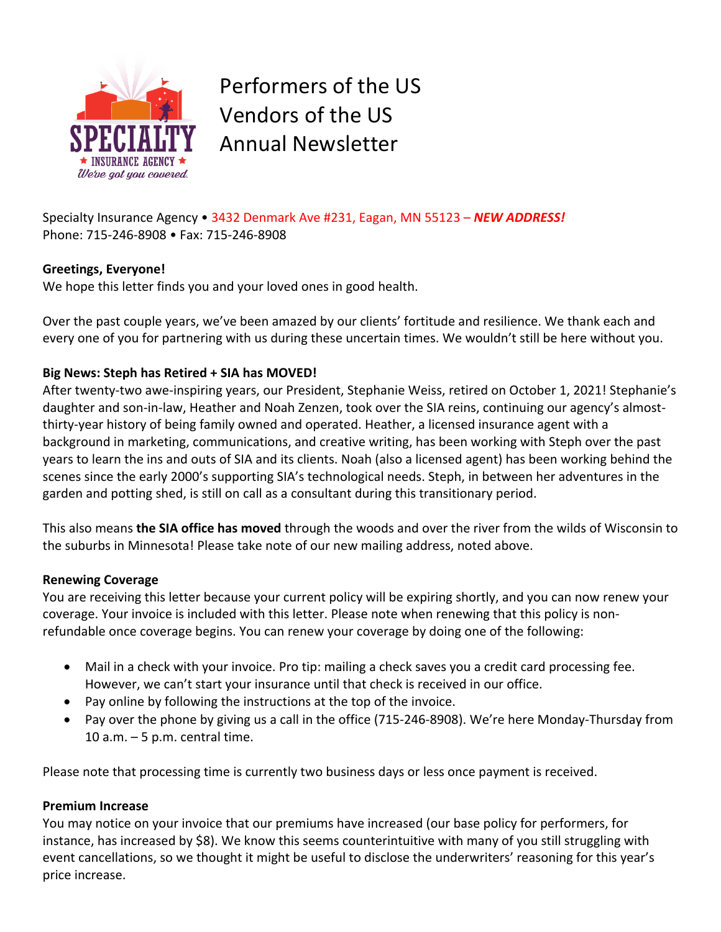

Performers of the US Vendors of the US Annual Newsletter

Specialty Insurance Agency • 3432 Denmark Ave #231, Eagan, MN 55123 – *NEW ADDRESS!* Phone: 715-246-8908 • Fax: 715-246-8908

## **Greetings, Everyone!**

We hope this letter finds you and your loved ones in good health.

Over the past couple years, we've been amazed by our clients' fortitude and resilience. We thank each and every one of you for partnering with us during these uncertain times. We wouldn't still be here without you.

# **Big News: Steph has Retired + SIA has MOVED!**

After twenty-two awe-inspiring years, our President, Stephanie Weiss, retired on October 1, 2021! Stephanie's daughter and son-in-law, Heather and Noah Zenzen, took over the SIA reins, continuing our agency's almostthirty-year history of being family owned and operated. Heather, a licensed insurance agent with a background in marketing, communications, and creative writing, has been working with Steph over the past years to learn the ins and outs of SIA and its clients. Noah (also a licensed agent) has been working behind the scenes since the early 2000's supporting SIA's technological needs. Steph, in between her adventures in the garden and potting shed, is still on call as a consultant during this transitionary period.

This also means **the SIA office has moved** through the woods and over the river from the wilds of Wisconsin to the suburbs in Minnesota! Please take note of our new mailing address, noted above.

## **Renewing Coverage**

You are receiving this letter because your current policy will be expiring shortly, and you can now renew your coverage. Your invoice is included with this letter. Please note when renewing that this policy is nonrefundable once coverage begins. You can renew your coverage by doing one of the following:

- Mail in a check with your invoice. Pro tip: mailing a check saves you a credit card processing fee. However, we can't start your insurance until that check is received in our office.
- Pay online by following the instructions at the top of the invoice.
- Pay over the phone by giving us a call in the office (715-246-8908). We're here Monday-Thursday from 10 a.m.  $-5$  p.m. central time.

Please note that processing time is currently two business days or less once payment is received.

## **Premium Increase**

You may notice on your invoice that our premiums have increased (our base policy for performers, for instance, has increased by \$8). We know this seems counterintuitive with many of you still struggling with event cancellations, so we thought it might be useful to disclose the underwriters' reasoning for this year's price increase.